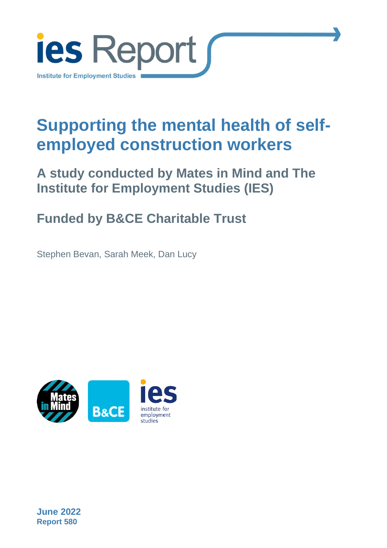

# **Supporting the mental health of selfemployed construction workers**

### **A study conducted by Mates in Mind and The Institute for Employment Studies (IES)**

### **Funded by B&CE Charitable Trust**

Stephen Bevan, Sarah Meek, Dan Lucy



**June 2022 Report 580**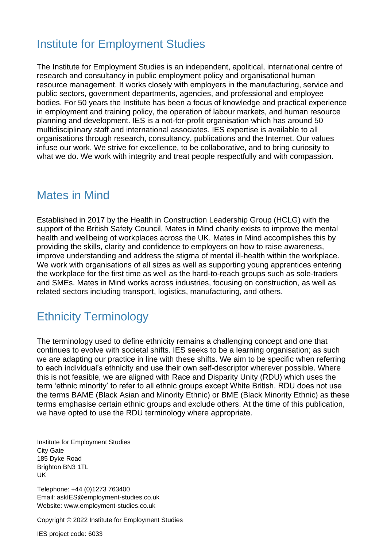#### Institute for Employment Studies

The Institute for Employment Studies is an independent, apolitical, international centre of research and consultancy in public employment policy and organisational human resource management. It works closely with employers in the manufacturing, service and public sectors, government departments, agencies, and professional and employee bodies. For 50 years the Institute has been a focus of knowledge and practical experience in employment and training policy, the operation of labour markets, and human resource planning and development. IES is a not-for-profit organisation which has around 50 multidisciplinary staff and international associates. IES expertise is available to all organisations through research, consultancy, publications and the Internet. Our values infuse our work. We strive for excellence, to be collaborative, and to bring curiosity to what we do. We work with integrity and treat people respectfully and with compassion.

#### Mates in Mind

Established in 2017 by the Health in Construction Leadership Group (HCLG) with the support of the British Safety Council, Mates in Mind charity exists to improve the mental health and wellbeing of workplaces across the UK. Mates in Mind accomplishes this by providing the skills, clarity and confidence to employers on how to raise awareness, improve understanding and address the stigma of mental ill-health within the workplace. We work with organisations of all sizes as well as supporting young apprentices entering the workplace for the first time as well as the hard-to-reach groups such as sole-traders and SMEs. Mates in Mind works across industries, focusing on construction, as well as related sectors including transport, logistics, manufacturing, and others.

### Ethnicity Terminology

The terminology used to define ethnicity remains a challenging concept and one that continues to evolve with societal shifts. IES seeks to be a learning organisation; as such we are adapting our practice in line with these shifts. We aim to be specific when referring to each individual's ethnicity and use their own self-descriptor wherever possible. Where this is not feasible, we are aligned with Race and Disparity Unity (RDU) which uses the term 'ethnic minority' to refer to all ethnic groups except White British. RDU does not use the terms BAME (Black Asian and Minority Ethnic) or BME (Black Minority Ethnic) as these terms emphasise certain ethnic groups and exclude others. At the time of this publication, we have opted to use the RDU terminology where appropriate.

Institute for Employment Studies City Gate 185 Dyke Road Brighton BN3 1TL UK

Telephone: +44 (0)1273 763400 Email: askIES@employment-studies.co.uk Website: www.employment-studies.co.uk

Copyright © 2022 Institute for Employment Studies

IES project code: 6033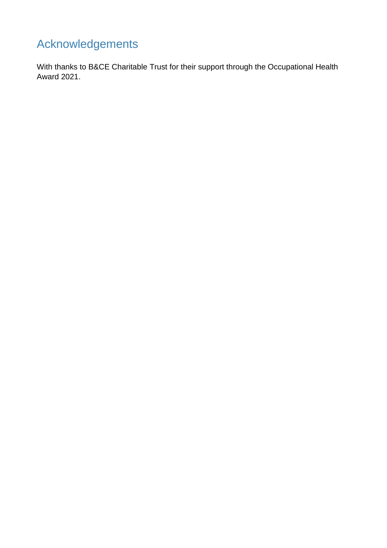### Acknowledgements

With thanks to B&CE Charitable Trust for their support through the Occupational Health Award 2021.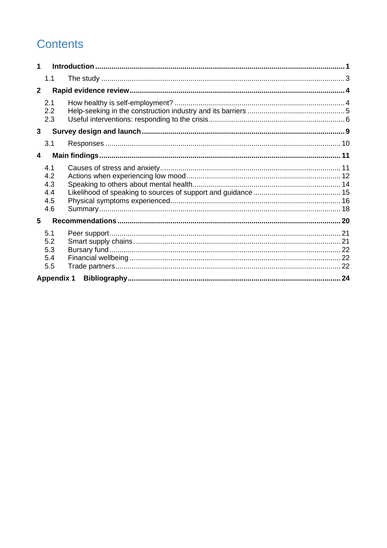### **Contents**

| 1              |                                        |  |  |
|----------------|----------------------------------------|--|--|
|                | 1.1                                    |  |  |
| $\overline{2}$ |                                        |  |  |
|                | 2.1<br>2.2<br>2.3                      |  |  |
| 3              |                                        |  |  |
|                | 3.1                                    |  |  |
| 4              |                                        |  |  |
|                | 4.1<br>4.2<br>4.3<br>4.4<br>4.5<br>4.6 |  |  |
| 5              |                                        |  |  |
|                | 5.1<br>5.2<br>5.3<br>5.4<br>5.5        |  |  |
|                | <b>Appendix 1</b>                      |  |  |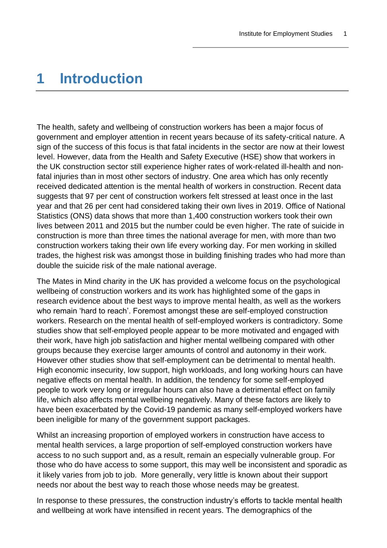### <span id="page-4-0"></span>**1 Introduction**

The health, safety and wellbeing of construction workers has been a major focus of government and employer attention in recent years because of its safety-critical nature. A sign of the success of this focus is that fatal incidents in the sector are now at their lowest level. However, data from the Health and Safety Executive (HSE) show that workers in the UK construction sector still experience higher rates of work-related ill-health and nonfatal injuries than in most other sectors of industry. One area which has only recently received dedicated attention is the mental health of workers in construction. Recent data suggests that 97 per cent of construction workers felt stressed at least once in the last year and that 26 per cent had considered taking their own lives in 2019. Office of National Statistics (ONS) data shows that more than 1,400 construction workers took their own lives between 2011 and 2015 but the number could be even higher. The rate of suicide in construction is more than three times the national average for men, with more than two construction workers taking their own life every working day. For men working in skilled trades, the highest risk was amongst those in building finishing trades who had more than double the suicide risk of the male national average.

The Mates in Mind charity in the UK has provided a welcome focus on the psychological wellbeing of construction workers and its work has highlighted some of the gaps in research evidence about the best ways to improve mental health, as well as the workers who remain 'hard to reach'. Foremost amongst these are self-employed construction workers. Research on the mental health of self-employed workers is contradictory. Some studies show that self-employed people appear to be more motivated and engaged with their work, have high job satisfaction and higher mental wellbeing compared with other groups because they exercise larger amounts of control and autonomy in their work. However other studies show that self-employment can be detrimental to mental health. High economic insecurity, low support, high workloads, and long working hours can have negative effects on mental health. In addition, the tendency for some self-employed people to work very long or irregular hours can also have a detrimental effect on family life, which also affects mental wellbeing negatively. Many of these factors are likely to have been exacerbated by the Covid-19 pandemic as many self-employed workers have been ineligible for many of the government support packages.

Whilst an increasing proportion of employed workers in construction have access to mental health services, a large proportion of self-employed construction workers have access to no such support and, as a result, remain an especially vulnerable group. For those who do have access to some support, this may well be inconsistent and sporadic as it likely varies from job to job. More generally, very little is known about their support needs nor about the best way to reach those whose needs may be greatest.

In response to these pressures, the construction industry's efforts to tackle mental health and wellbeing at work have intensified in recent years. The demographics of the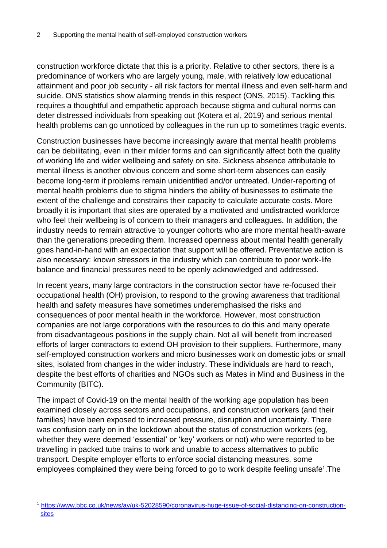construction workforce dictate that this is a priority. Relative to other sectors, there is a predominance of workers who are largely young, male, with relatively low educational attainment and poor job security - all risk factors for mental illness and even self-harm and suicide. ONS statistics show alarming trends in this respect (ONS, 2015). Tackling this requires a thoughtful and empathetic approach because stigma and cultural norms can deter distressed individuals from speaking out (Kotera et al, 2019) and serious mental health problems can go unnoticed by colleagues in the run up to sometimes tragic events.

Construction businesses have become increasingly aware that mental health problems can be debilitating, even in their milder forms and can significantly affect both the quality of working life and wider wellbeing and safety on site. Sickness absence attributable to mental illness is another obvious concern and some short-term absences can easily become long-term if problems remain unidentified and/or untreated. Under-reporting of mental health problems due to stigma hinders the ability of businesses to estimate the extent of the challenge and constrains their capacity to calculate accurate costs. More broadly it is important that sites are operated by a motivated and undistracted workforce who feel their wellbeing is of concern to their managers and colleagues. In addition, the industry needs to remain attractive to younger cohorts who are more mental health-aware than the generations preceding them. Increased openness about mental health generally goes hand-in-hand with an expectation that support will be offered. Preventative action is also necessary: known stressors in the industry which can contribute to poor work-life balance and financial pressures need to be openly acknowledged and addressed.

In recent years, many large contractors in the construction sector have re-focused their occupational health (OH) provision, to respond to the growing awareness that traditional health and safety measures have sometimes underemphasised the risks and consequences of poor mental health in the workforce. However, most construction companies are not large corporations with the resources to do this and many operate from disadvantageous positions in the supply chain. Not all will benefit from increased efforts of larger contractors to extend OH provision to their suppliers. Furthermore, many self-employed construction workers and micro businesses work on domestic jobs or small sites, isolated from changes in the wider industry. These individuals are hard to reach, despite the best efforts of charities and NGOs such as Mates in Mind and Business in the Community (BITC).

The impact of Covid-19 on the mental health of the working age population has been examined closely across sectors and occupations, and construction workers (and their families) have been exposed to increased pressure, disruption and uncertainty. There was confusion early on in the lockdown about the status of construction workers (eg, whether they were deemed 'essential' or 'key' workers or not) who were reported to be travelling in packed tube trains to work and unable to access alternatives to public transport. Despite employer efforts to enforce social distancing measures, some employees complained they were being forced to go to work despite feeling unsafe<sup>1</sup>. The

<sup>1</sup> [https://www.bbc.co.uk/news/av/uk-52028590/coronavirus-huge-issue-of-social-distancing-on-construction](https://www.bbc.co.uk/news/av/uk-52028590/coronavirus-huge-issue-of-social-distancing-on-construction-sites)[sites](https://www.bbc.co.uk/news/av/uk-52028590/coronavirus-huge-issue-of-social-distancing-on-construction-sites)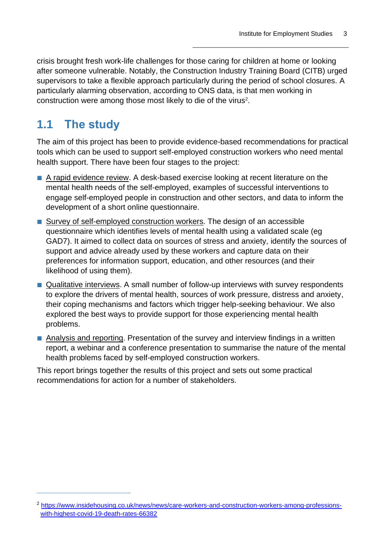crisis brought fresh work-life challenges for those caring for children at home or looking after someone vulnerable. Notably, the Construction Industry Training Board (CITB) urged supervisors to take a flexible approach particularly during the period of school closures. A particularly alarming observation, according to ONS data, is that men working in construction were among those most likely to die of the virus<sup>2</sup>.

### <span id="page-6-0"></span>**1.1 The study**

The aim of this project has been to provide evidence-based recommendations for practical tools which can be used to support self-employed construction workers who need mental health support. There have been four stages to the project:

- A rapid evidence review. A desk-based exercise looking at recent literature on the mental health needs of the self-employed, examples of successful interventions to engage self-employed people in construction and other sectors, and data to inform the development of a short online questionnaire.
- Survey of self-employed construction workers. The design of an accessible questionnaire which identifies levels of mental health using a validated scale (eg GAD7). It aimed to collect data on sources of stress and anxiety, identify the sources of support and advice already used by these workers and capture data on their preferences for information support, education, and other resources (and their likelihood of using them).
- Qualitative interviews. A small number of follow-up interviews with survey respondents to explore the drivers of mental health, sources of work pressure, distress and anxiety, their coping mechanisms and factors which trigger help-seeking behaviour. We also explored the best ways to provide support for those experiencing mental health problems.
- Analysis and reporting. Presentation of the survey and interview findings in a written report, a webinar and a conference presentation to summarise the nature of the mental health problems faced by self-employed construction workers.

This report brings together the results of this project and sets out some practical recommendations for action for a number of stakeholders.

<sup>2</sup> [https://www.insidehousing.co.uk/news/news/care-workers-and-construction-workers-among-professions](https://www.insidehousing.co.uk/news/news/care-workers-and-construction-workers-among-professions-with-highest-covid-19-death-rates-66382)[with-highest-covid-19-death-rates-66382](https://www.insidehousing.co.uk/news/news/care-workers-and-construction-workers-among-professions-with-highest-covid-19-death-rates-66382)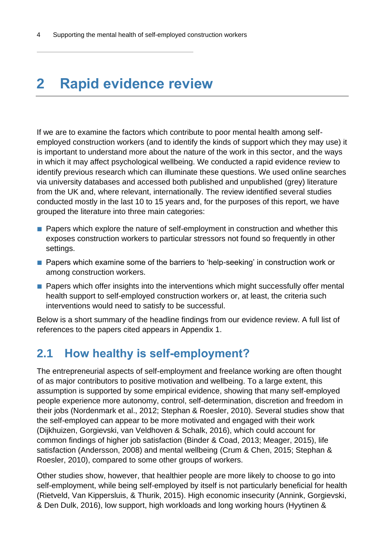## <span id="page-7-0"></span>**2 Rapid evidence review**

If we are to examine the factors which contribute to poor mental health among selfemployed construction workers (and to identify the kinds of support which they may use) it is important to understand more about the nature of the work in this sector, and the ways in which it may affect psychological wellbeing. We conducted a rapid evidence review to identify previous research which can illuminate these questions. We used online searches via university databases and accessed both published and unpublished (grey) literature from the UK and, where relevant, internationally. The review identified several studies conducted mostly in the last 10 to 15 years and, for the purposes of this report, we have grouped the literature into three main categories:

- Papers which explore the nature of self-employment in construction and whether this exposes construction workers to particular stressors not found so frequently in other settings.
- Papers which examine some of the barriers to 'help-seeking' in construction work or among construction workers.
- Papers which offer insights into the interventions which might successfully offer mental health support to self-employed construction workers or, at least, the criteria such interventions would need to satisfy to be successful.

Below is a short summary of the headline findings from our evidence review. A full list of references to the papers cited appears in Appendix 1.

#### <span id="page-7-1"></span>**2.1 How healthy is self-employment?**

The entrepreneurial aspects of self-employment and freelance working are often thought of as major contributors to positive motivation and wellbeing. To a large extent, this assumption is supported by some empirical evidence, showing that many self-employed people experience more autonomy, control, self-determination, discretion and freedom in their jobs (Nordenmark et al., 2012; Stephan & Roesler, 2010). Several studies show that the self-employed can appear to be more motivated and engaged with their work (Dijkhuizen, Gorgievski, van Veldhoven & Schalk, 2016), which could account for common findings of higher job satisfaction (Binder & Coad, 2013; Meager, 2015), life satisfaction (Andersson, 2008) and mental wellbeing (Crum & Chen, 2015; Stephan & Roesler, 2010), compared to some other groups of workers.

Other studies show, however, that healthier people are more likely to choose to go into self-employment, while being self-employed by itself is not particularly beneficial for health (Rietveld, Van Kippersluis, & Thurik, 2015). High economic insecurity (Annink, Gorgievski, & Den Dulk, 2016), low support, high workloads and long working hours (Hyytinen &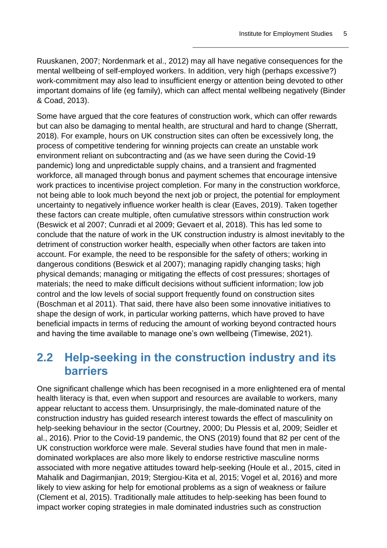Ruuskanen, 2007; Nordenmark et al., 2012) may all have negative consequences for the mental wellbeing of self-employed workers. In addition, very high (perhaps excessive?) work-commitment may also lead to insufficient energy or attention being devoted to other important domains of life (eg family), which can affect mental wellbeing negatively (Binder & Coad, 2013).

Some have argued that the core features of construction work, which can offer rewards but can also be damaging to mental health, are structural and hard to change (Sherratt, 2018). For example, hours on UK construction sites can often be excessively long, the process of competitive tendering for winning projects can create an unstable work environment reliant on subcontracting and (as we have seen during the Covid-19 pandemic) long and unpredictable supply chains, and a transient and fragmented workforce, all managed through bonus and payment schemes that encourage intensive work practices to incentivise project completion. For many in the construction workforce, not being able to look much beyond the next job or project, the potential for employment uncertainty to negatively influence worker health is clear (Eaves, 2019). Taken together these factors can create multiple, often cumulative stressors within construction work (Beswick et al 2007; Cunradi et al 2009; Gevaert et al, 2018). This has led some to conclude that the nature of work in the UK construction industry is almost inevitably to the detriment of construction worker health, especially when other factors are taken into account. For example, the need to be responsible for the safety of others; working in dangerous conditions (Beswick et al 2007); managing rapidly changing tasks; high physical demands; managing or mitigating the effects of cost pressures; shortages of materials; the need to make difficult decisions without sufficient information; low job control and the low levels of social support frequently found on construction sites (Boschman et al 2011). That said, there have also been some innovative initiatives to shape the design of work, in particular working patterns, which have proved to have beneficial impacts in terms of reducing the amount of working beyond contracted hours and having the time available to manage one's own wellbeing (Timewise, 2021).

#### <span id="page-8-0"></span>**2.2 Help-seeking in the construction industry and its barriers**

One significant challenge which has been recognised in a more enlightened era of mental health literacy is that, even when support and resources are available to workers, many appear reluctant to access them. Unsurprisingly, the male-dominated nature of the construction industry has guided research interest towards the effect of masculinity on help-seeking behaviour in the sector (Courtney, 2000; Du Plessis et al, 2009; Seidler et al., 2016). Prior to the Covid-19 pandemic, the ONS (2019) found that 82 per cent of the UK construction workforce were male. Several studies have found that men in maledominated workplaces are also more likely to endorse restrictive masculine norms associated with more negative attitudes toward help-seeking (Houle et al., 2015, cited in Mahalik and Dagirmanjian, 2019; Stergiou-Kita et al, 2015; Vogel et al, 2016) and more likely to view asking for help for emotional problems as a sign of weakness or failure (Clement et al, 2015). Traditionally male attitudes to help-seeking has been found to impact worker coping strategies in male dominated industries such as construction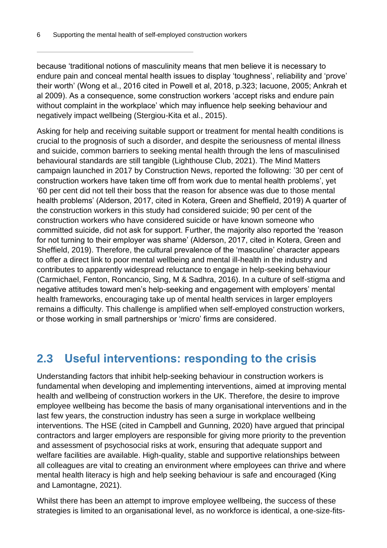because 'traditional notions of masculinity means that men believe it is necessary to endure pain and conceal mental health issues to display 'toughness', reliability and 'prove' their worth' (Wong et al., 2016 cited in Powell et al, 2018, p.323; Iacuone, 2005; Ankrah et al 2009). As a consequence, some construction workers 'accept risks and endure pain without complaint in the workplace' which may influence help seeking behaviour and negatively impact wellbeing (Stergiou-Kita et al., 2015).

Asking for help and receiving suitable support or treatment for mental health conditions is crucial to the prognosis of such a disorder, and despite the seriousness of mental illness and suicide, common barriers to seeking mental health through the lens of masculinised behavioural standards are still tangible (Lighthouse Club, 2021). The Mind Matters campaign launched in 2017 by Construction News, reported the following: '30 per cent of construction workers have taken time off from work due to mental health problems', yet '60 per cent did not tell their boss that the reason for absence was due to those mental health problems' (Alderson, 2017, cited in Kotera, Green and Sheffield, 2019) A quarter of the construction workers in this study had considered suicide; 90 per cent of the construction workers who have considered suicide or have known someone who committed suicide, did not ask for support. Further, the majority also reported the 'reason for not turning to their employer was shame' (Alderson, 2017, cited in Kotera, Green and Sheffield, 2019). Therefore, the cultural prevalence of the 'masculine' character appears to offer a direct link to poor mental wellbeing and mental ill-health in the industry and contributes to apparently widespread reluctance to engage in help-seeking behaviour (Carmichael, Fenton, Roncancio, Sing, M & Sadhra, 2016). In a culture of self-stigma and negative attitudes toward men's help-seeking and engagement with employers' mental health frameworks, encouraging take up of mental health services in larger employers remains a difficulty. This challenge is amplified when self-employed construction workers, or those working in small partnerships or 'micro' firms are considered.

#### <span id="page-9-0"></span>**2.3 Useful interventions: responding to the crisis**

Understanding factors that inhibit help-seeking behaviour in construction workers is fundamental when developing and implementing interventions, aimed at improving mental health and wellbeing of construction workers in the UK. Therefore, the desire to improve employee wellbeing has become the basis of many organisational interventions and in the last few years, the construction industry has seen a surge in workplace wellbeing interventions. The HSE (cited in Campbell and Gunning, 2020) have argued that principal contractors and larger employers are responsible for giving more priority to the prevention and assessment of psychosocial risks at work, ensuring that adequate support and welfare facilities are available. High-quality, stable and supportive relationships between all colleagues are vital to creating an environment where employees can thrive and where mental health literacy is high and help seeking behaviour is safe and encouraged (King and Lamontagne, 2021).

Whilst there has been an attempt to improve employee wellbeing, the success of these strategies is limited to an organisational level, as no workforce is identical, a one-size-fits-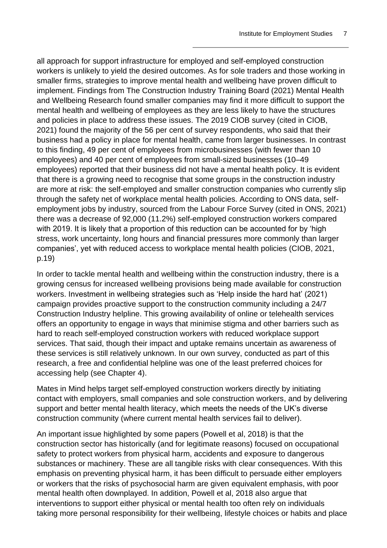all approach for support infrastructure for employed and self-employed construction workers is unlikely to yield the desired outcomes. As for sole traders and those working in smaller firms, strategies to improve mental health and wellbeing have proven difficult to implement. Findings from The Construction Industry Training Board (2021) Mental Health and Wellbeing Research found smaller companies may find it more difficult to support the mental health and wellbeing of employees as they are less likely to have the structures and policies in place to address these issues. The 2019 CIOB survey (cited in CIOB, 2021) found the majority of the 56 per cent of survey respondents, who said that their business had a policy in place for mental health, came from larger businesses. In contrast to this finding, 49 per cent of employees from microbusinesses (with fewer than 10 employees) and 40 per cent of employees from small-sized businesses (10–49 employees) reported that their business did not have a mental health policy. It is evident that there is a growing need to recognise that some groups in the construction industry are more at risk: the self-employed and smaller construction companies who currently slip through the safety net of workplace mental health policies. According to ONS data, selfemployment jobs by industry, sourced from the Labour Force Survey (cited in ONS, 2021) there was a decrease of 92,000 (11.2%) self-employed construction workers compared with 2019. It is likely that a proportion of this reduction can be accounted for by 'high stress, work uncertainty, long hours and financial pressures more commonly than larger companies', yet with reduced access to workplace mental health policies (CIOB, 2021, p.19)

In order to tackle mental health and wellbeing within the construction industry, there is a growing census for increased wellbeing provisions being made available for construction workers. Investment in wellbeing strategies such as 'Help inside the hard hat' (2021) campaign provides proactive support to the construction community including a 24/7 Construction Industry helpline. This growing availability of online or telehealth services offers an opportunity to engage in ways that minimise stigma and other barriers such as hard to reach self-employed construction workers with reduced workplace support services. That said, though their impact and uptake remains uncertain as awareness of these services is still relatively unknown. In our own survey, conducted as part of this research, a free and confidential helpline was one of the least preferred choices for accessing help (see Chapter 4).

Mates in Mind helps target self-employed construction workers directly by initiating contact with employers, small companies and sole construction workers, and by delivering support and better mental health literacy, which meets the needs of the UK's diverse construction community (where current mental health services fail to deliver).

An important issue highlighted by some papers (Powell et al, 2018) is that the construction sector has historically (and for legitimate reasons) focused on occupational safety to protect workers from physical harm, accidents and exposure to dangerous substances or machinery. These are all tangible risks with clear consequences. With this emphasis on preventing physical harm, it has been difficult to persuade either employers or workers that the risks of psychosocial harm are given equivalent emphasis, with poor mental health often downplayed. In addition, Powell et al, 2018 also argue that interventions to support either physical or mental health too often rely on individuals taking more personal responsibility for their wellbeing, lifestyle choices or habits and place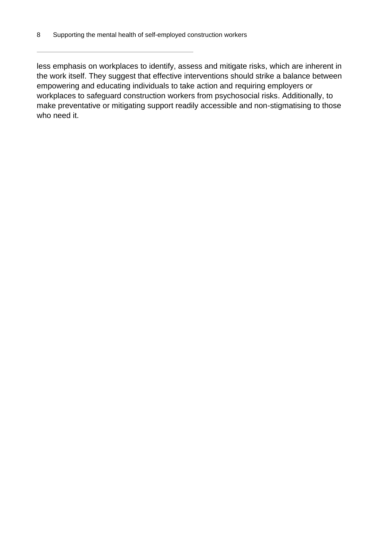less emphasis on workplaces to identify, assess and mitigate risks, which are inherent in the work itself. They suggest that effective interventions should strike a balance between empowering and educating individuals to take action and requiring employers or workplaces to safeguard construction workers from psychosocial risks. Additionally, to make preventative or mitigating support readily accessible and non-stigmatising to those who need it.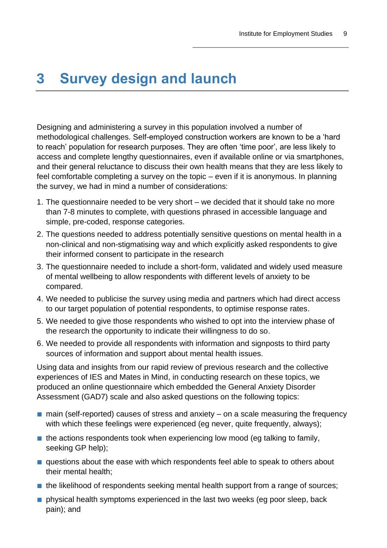### <span id="page-12-0"></span>**3 Survey design and launch**

Designing and administering a survey in this population involved a number of methodological challenges. Self-employed construction workers are known to be a 'hard to reach' population for research purposes. They are often 'time poor', are less likely to access and complete lengthy questionnaires, even if available online or via smartphones, and their general reluctance to discuss their own health means that they are less likely to feel comfortable completing a survey on the topic – even if it is anonymous. In planning the survey, we had in mind a number of considerations:

- 1. The questionnaire needed to be very short we decided that it should take no more than 7-8 minutes to complete, with questions phrased in accessible language and simple, pre-coded, response categories.
- 2. The questions needed to address potentially sensitive questions on mental health in a non-clinical and non-stigmatising way and which explicitly asked respondents to give their informed consent to participate in the research
- 3. The questionnaire needed to include a short-form, validated and widely used measure of mental wellbeing to allow respondents with different levels of anxiety to be compared.
- 4. We needed to publicise the survey using media and partners which had direct access to our target population of potential respondents, to optimise response rates.
- 5. We needed to give those respondents who wished to opt into the interview phase of the research the opportunity to indicate their willingness to do so.
- 6. We needed to provide all respondents with information and signposts to third party sources of information and support about mental health issues.

Using data and insights from our rapid review of previous research and the collective experiences of IES and Mates in Mind, in conducting research on these topics, we produced an online questionnaire which embedded the General Anxiety Disorder Assessment (GAD7) scale and also asked questions on the following topics:

- $\blacksquare$  main (self-reported) causes of stress and anxiety on a scale measuring the frequency with which these feelings were experienced (eg never, quite frequently, always);
- $\blacksquare$  the actions respondents took when experiencing low mood (eq talking to family, seeking GP help);
- questions about the ease with which respondents feel able to speak to others about their mental health;
- the likelihood of respondents seeking mental health support from a range of sources;
- physical health symptoms experienced in the last two weeks (eg poor sleep, back pain); and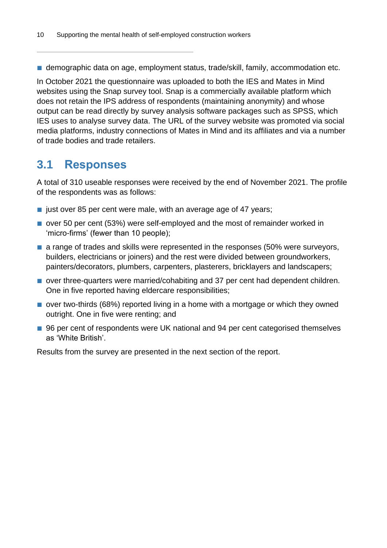■ demographic data on age, employment status, trade/skill, family, accommodation etc.

In October 2021 the questionnaire was uploaded to both the IES and Mates in Mind websites using the Snap survey tool. Snap is a commercially available platform which does not retain the IPS address of respondents (maintaining anonymity) and whose output can be read directly by survey analysis software packages such as SPSS, which IES uses to analyse survey data. The URL of the survey website was promoted via social media platforms, industry connections of Mates in Mind and its affiliates and via a number of trade bodies and trade retailers.

#### <span id="page-13-0"></span>**3.1 Responses**

A total of 310 useable responses were received by the end of November 2021. The profile of the respondents was as follows:

- just over 85 per cent were male, with an average age of 47 years;
- over 50 per cent (53%) were self-employed and the most of remainder worked in 'micro-firms' (fewer than 10 people);
- a range of trades and skills were represented in the responses (50% were surveyors, builders, electricians or joiners) and the rest were divided between groundworkers, painters/decorators, plumbers, carpenters, plasterers, bricklayers and landscapers;
- over three-quarters were married/cohabiting and 37 per cent had dependent children. One in five reported having eldercare responsibilities;
- over two-thirds (68%) reported living in a home with a mortgage or which they owned outright. One in five were renting; and
- 96 per cent of respondents were UK national and 94 per cent categorised themselves as 'White British'.

Results from the survey are presented in the next section of the report.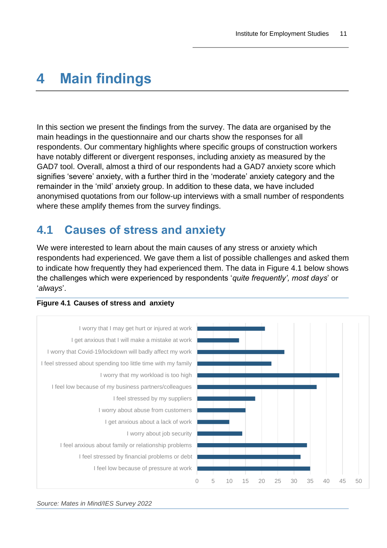### <span id="page-14-0"></span>**4 Main findings**

In this section we present the findings from the survey. The data are organised by the main headings in the questionnaire and our charts show the responses for all respondents. Our commentary highlights where specific groups of construction workers have notably different or divergent responses, including anxiety as measured by the GAD7 tool. Overall, almost a third of our respondents had a GAD7 anxiety score which signifies 'severe' anxiety, with a further third in the 'moderate' anxiety category and the remainder in the 'mild' anxiety group. In addition to these data, we have included anonymised quotations from our follow-up interviews with a small number of respondents where these amplify themes from the survey findings.

#### <span id="page-14-1"></span>**4.1 Causes of stress and anxiety**

We were interested to learn about the main causes of any stress or anxiety which respondents had experienced. We gave them a list of possible challenges and asked them to indicate how frequently they had experienced them. The data in Figure 4.1 below shows the challenges which were experienced by respondents '*quite frequently', most days*' or '*always*'.



#### **Figure 4.1 Causes of stress and anxiety**

*Source: Mates in Mind/IES Survey 2022*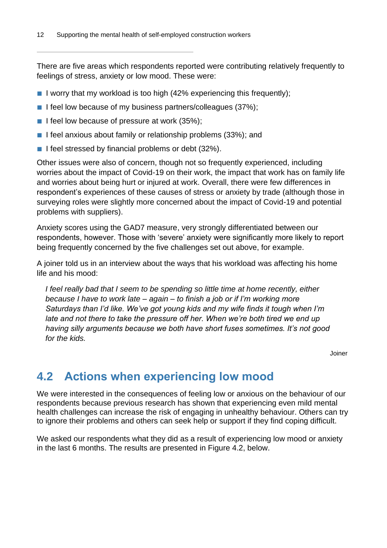There are five areas which respondents reported were contributing relatively frequently to feelings of stress, anxiety or low mood. These were:

- $\blacksquare$  I worry that my workload is too high (42% experiencing this frequently);
- I feel low because of my business partners/colleagues (37%);
- I feel low because of pressure at work (35%);
- I feel anxious about family or relationship problems (33%); and
- I feel stressed by financial problems or debt (32%).

Other issues were also of concern, though not so frequently experienced, including worries about the impact of Covid-19 on their work, the impact that work has on family life and worries about being hurt or injured at work. Overall, there were few differences in respondent's experiences of these causes of stress or anxiety by trade (although those in surveying roles were slightly more concerned about the impact of Covid-19 and potential problems with suppliers).

Anxiety scores using the GAD7 measure, very strongly differentiated between our respondents, however. Those with 'severe' anxiety were significantly more likely to report being frequently concerned by the five challenges set out above, for example.

A joiner told us in an interview about the ways that his workload was affecting his home life and his mood:

*I feel really bad that I seem to be spending so little time at home recently, either because I have to work late – again – to finish a job or if I'm working more Saturdays than I'd like. We've got young kids and my wife finds it tough when I'm late and not there to take the pressure off her. When we're both tired we end up having silly arguments because we both have short fuses sometimes. It's not good for the kids.*

Joiner

#### <span id="page-15-0"></span>**4.2 Actions when experiencing low mood**

We were interested in the consequences of feeling low or anxious on the behaviour of our respondents because previous research has shown that experiencing even mild mental health challenges can increase the risk of engaging in unhealthy behaviour. Others can try to ignore their problems and others can seek help or support if they find coping difficult.

We asked our respondents what they did as a result of experiencing low mood or anxiety in the last 6 months. The results are presented in Figure 4.2, below.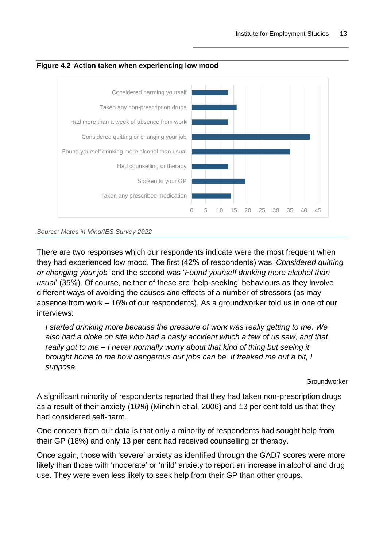



*Source: Mates in Mind/IES Survey 2022*

There are two responses which our respondents indicate were the most frequent when they had experienced low mood. The first (42% of respondents) was '*Considered quitting or changing your job'* and the second was '*Found yourself drinking more alcohol than usual*' (35%). Of course, neither of these are 'help-seeking' behaviours as they involve different ways of avoiding the causes and effects of a number of stressors (as may absence from work – 16% of our respondents). As a groundworker told us in one of our interviews:

*I started drinking more because the pressure of work was really getting to me. We also had a bloke on site who had a nasty accident which a few of us saw, and that really got to me – I never normally worry about that kind of thing but seeing it brought home to me how dangerous our jobs can be. It freaked me out a bit, I suppose.*

Groundworker

A significant minority of respondents reported that they had taken non-prescription drugs as a result of their anxiety (16%) (Minchin et al, 2006) and 13 per cent told us that they had considered self-harm.

One concern from our data is that only a minority of respondents had sought help from their GP (18%) and only 13 per cent had received counselling or therapy.

Once again, those with 'severe' anxiety as identified through the GAD7 scores were more likely than those with 'moderate' or 'mild' anxiety to report an increase in alcohol and drug use. They were even less likely to seek help from their GP than other groups.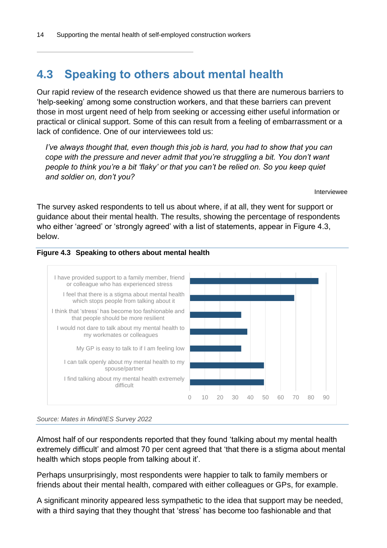#### <span id="page-17-0"></span>**4.3 Speaking to others about mental health**

Our rapid review of the research evidence showed us that there are numerous barriers to 'help-seeking' among some construction workers, and that these barriers can prevent those in most urgent need of help from seeking or accessing either useful information or practical or clinical support. Some of this can result from a feeling of embarrassment or a lack of confidence. One of our interviewees told us:

*I've always thought that, even though this job is hard, you had to show that you can cope with the pressure and never admit that you're struggling a bit. You don't want people to think you're a bit 'flaky' or that you can't be relied on. So you keep quiet and soldier on, don't you?*

Interviewee

The survey asked respondents to tell us about where, if at all, they went for support or guidance about their mental health. The results, showing the percentage of respondents who either 'agreed' or 'strongly agreed' with a list of statements, appear in Figure 4.3, below.







Almost half of our respondents reported that they found 'talking about my mental health extremely difficult' and almost 70 per cent agreed that 'that there is a stigma about mental health which stops people from talking about it'.

Perhaps unsurprisingly, most respondents were happier to talk to family members or friends about their mental health, compared with either colleagues or GPs, for example.

A significant minority appeared less sympathetic to the idea that support may be needed, with a third saying that they thought that 'stress' has become too fashionable and that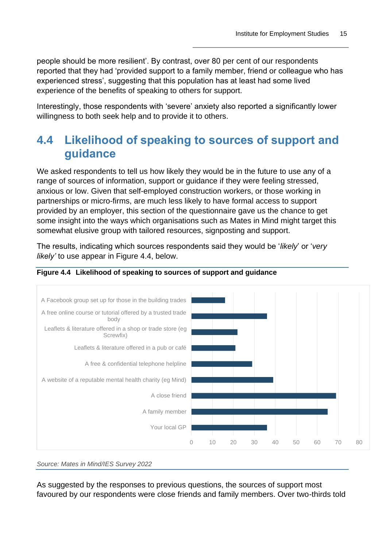people should be more resilient'. By contrast, over 80 per cent of our respondents reported that they had 'provided support to a family member, friend or colleague who has experienced stress', suggesting that this population has at least had some lived experience of the benefits of speaking to others for support.

Interestingly, those respondents with 'severe' anxiety also reported a significantly lower willingness to both seek help and to provide it to others.

### <span id="page-18-0"></span>**4.4 Likelihood of speaking to sources of support and guidance**

We asked respondents to tell us how likely they would be in the future to use any of a range of sources of information, support or guidance if they were feeling stressed, anxious or low. Given that self-employed construction workers, or those working in partnerships or micro-firms, are much less likely to have formal access to support provided by an employer, this section of the questionnaire gave us the chance to get some insight into the ways which organisations such as Mates in Mind might target this somewhat elusive group with tailored resources, signposting and support.

The results, indicating which sources respondents said they would be '*likely*' or '*very likely'* to use appear in Figure 4.4, below.





*Source: Mates in Mind/IES Survey 2022*

As suggested by the responses to previous questions, the sources of support most favoured by our respondents were close friends and family members. Over two-thirds told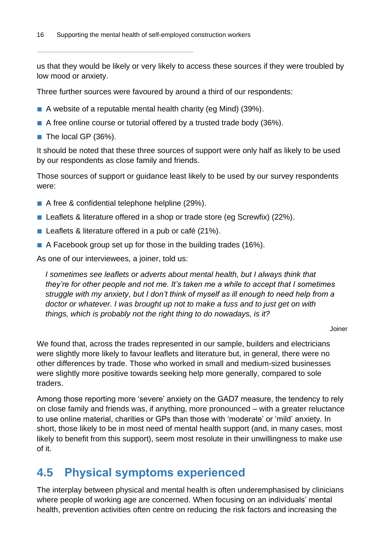us that they would be likely or very likely to access these sources if they were troubled by low mood or anxiety.

Three further sources were favoured by around a third of our respondents:

- A website of a reputable mental health charity (eg Mind) (39%).
- A free online course or tutorial offered by a trusted trade body (36%).
- The local GP (36%).

It should be noted that these three sources of support were only half as likely to be used by our respondents as close family and friends.

Those sources of support or guidance least likely to be used by our survey respondents were:

- A free & confidential telephone helpline (29%).
- Leaflets & literature offered in a shop or trade store (eg Screwfix) (22%).
- Leaflets & literature offered in a pub or café (21%).
- A Facebook group set up for those in the building trades (16%).

As one of our interviewees, a joiner, told us:

*I sometimes see leaflets or adverts about mental health, but I always think that they're for other people and not me. It's taken me a while to accept that I sometimes struggle with my anxiety, but I don't think of myself as ill enough to need help from a doctor or whatever. I was brought up not to make a fuss and to just get on with things, which is probably not the right thing to do nowadays, is it?*

Joiner

We found that, across the trades represented in our sample, builders and electricians were slightly more likely to favour leaflets and literature but, in general, there were no other differences by trade. Those who worked in small and medium-sized businesses were slightly more positive towards seeking help more generally, compared to sole traders.

Among those reporting more 'severe' anxiety on the GAD7 measure, the tendency to rely on close family and friends was, if anything, more pronounced – with a greater reluctance to use online material, charities or GPs than those with 'moderate' or 'mild' anxiety. In short, those likely to be in most need of mental health support (and, in many cases, most likely to benefit from this support), seem most resolute in their unwillingness to make use of it.

#### <span id="page-19-0"></span>**4.5 Physical symptoms experienced**

The interplay between physical and mental health is often underemphasised by clinicians where people of working age are concerned. When focusing on an individuals' mental health, prevention activities often centre on reducing the risk factors and increasing the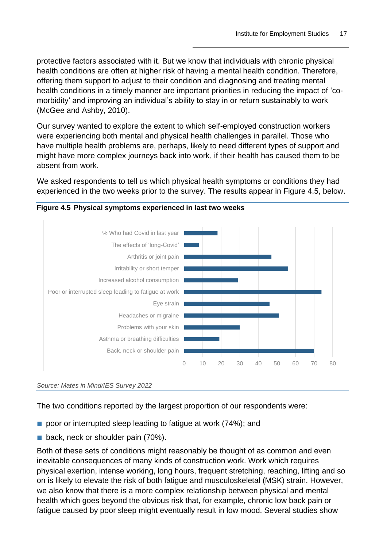protective factors associated with it. But we know that individuals with chronic physical health conditions are often at higher risk of having a mental health condition. Therefore, offering them support to adjust to their condition and diagnosing and treating mental health conditions in a timely manner are important priorities in reducing the impact of 'comorbidity' and improving an individual's ability to stay in or return sustainably to work (McGee and Ashby, 2010).

Our survey wanted to explore the extent to which self-employed construction workers were experiencing both mental and physical health challenges in parallel. Those who have multiple health problems are, perhaps, likely to need different types of support and might have more complex journeys back into work, if their health has caused them to be absent from work.

We asked respondents to tell us which physical health symptoms or conditions they had experienced in the two weeks prior to the survey. The results appear in Figure 4.5, below.



**Figure 4.5 Physical symptoms experienced in last two weeks**

The two conditions reported by the largest proportion of our respondents were:

- poor or interrupted sleep leading to fatigue at work (74%); and
- back, neck or shoulder pain (70%).

Both of these sets of conditions might reasonably be thought of as common and even inevitable consequences of many kinds of construction work. Work which requires physical exertion, intense working, long hours, frequent stretching, reaching, lifting and so on is likely to elevate the risk of both fatigue and musculoskeletal (MSK) strain. However, we also know that there is a more complex relationship between physical and mental health which goes beyond the obvious risk that, for example, chronic low back pain or fatigue caused by poor sleep might eventually result in low mood. Several studies show

*Source: Mates in Mind/IES Survey 2022*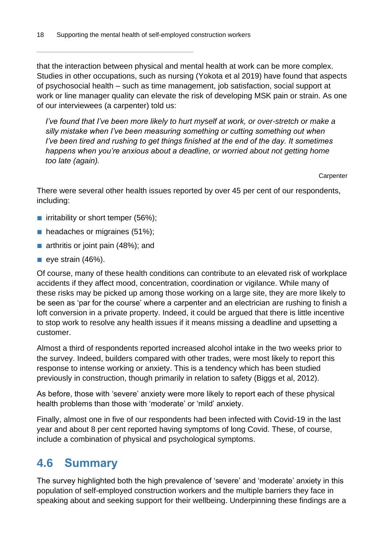that the interaction between physical and mental health at work can be more complex. Studies in other occupations, such as nursing (Yokota et al 2019) have found that aspects of psychosocial health – such as time management, job satisfaction, social support at work or line manager quality can elevate the risk of developing MSK pain or strain. As one of our interviewees (a carpenter) told us:

*I've found that I've been more likely to hurt myself at work, or over-stretch or make a silly mistake when I've been measuring something or cutting something out when I've been tired and rushing to get things finished at the end of the day. It sometimes happens when you're anxious about a deadline, or worried about not getting home too late (again).*

**Carpenter** 

There were several other health issues reported by over 45 per cent of our respondents, including:

- irritability or short temper (56%);
- headaches or migraines (51%);
- arthritis or joint pain (48%); and
- $\blacksquare$  eye strain (46%).

Of course, many of these health conditions can contribute to an elevated risk of workplace accidents if they affect mood, concentration, coordination or vigilance. While many of these risks may be picked up among those working on a large site, they are more likely to be seen as 'par for the course' where a carpenter and an electrician are rushing to finish a loft conversion in a private property. Indeed, it could be argued that there is little incentive to stop work to resolve any health issues if it means missing a deadline and upsetting a customer.

Almost a third of respondents reported increased alcohol intake in the two weeks prior to the survey. Indeed, builders compared with other trades, were most likely to report this response to intense working or anxiety. This is a tendency which has been studied previously in construction, though primarily in relation to safety (Biggs et al, 2012).

As before, those with 'severe' anxiety were more likely to report each of these physical health problems than those with 'moderate' or 'mild' anxiety.

Finally, almost one in five of our respondents had been infected with Covid-19 in the last year and about 8 per cent reported having symptoms of long Covid. These, of course, include a combination of physical and psychological symptoms.

#### <span id="page-21-0"></span>**4.6 Summary**

The survey highlighted both the high prevalence of 'severe' and 'moderate' anxiety in this population of self-employed construction workers and the multiple barriers they face in speaking about and seeking support for their wellbeing. Underpinning these findings are a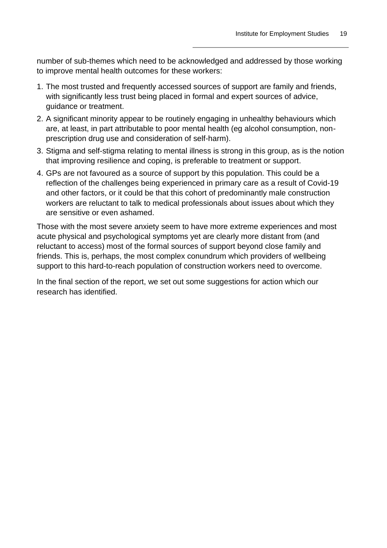number of sub-themes which need to be acknowledged and addressed by those working to improve mental health outcomes for these workers:

- 1. The most trusted and frequently accessed sources of support are family and friends, with significantly less trust being placed in formal and expert sources of advice, guidance or treatment.
- 2. A significant minority appear to be routinely engaging in unhealthy behaviours which are, at least, in part attributable to poor mental health (eg alcohol consumption, nonprescription drug use and consideration of self-harm).
- 3. Stigma and self-stigma relating to mental illness is strong in this group, as is the notion that improving resilience and coping, is preferable to treatment or support.
- 4. GPs are not favoured as a source of support by this population. This could be a reflection of the challenges being experienced in primary care as a result of Covid-19 and other factors, or it could be that this cohort of predominantly male construction workers are reluctant to talk to medical professionals about issues about which they are sensitive or even ashamed.

Those with the most severe anxiety seem to have more extreme experiences and most acute physical and psychological symptoms yet are clearly more distant from (and reluctant to access) most of the formal sources of support beyond close family and friends. This is, perhaps, the most complex conundrum which providers of wellbeing support to this hard-to-reach population of construction workers need to overcome.

In the final section of the report, we set out some suggestions for action which our research has identified.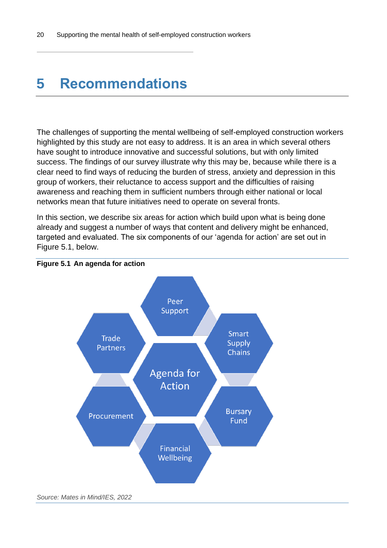### <span id="page-23-0"></span>**5 Recommendations**

The challenges of supporting the mental wellbeing of self-employed construction workers highlighted by this study are not easy to address. It is an area in which several others have sought to introduce innovative and successful solutions, but with only limited success. The findings of our survey illustrate why this may be, because while there is a clear need to find ways of reducing the burden of stress, anxiety and depression in this group of workers, their reluctance to access support and the difficulties of raising awareness and reaching them in sufficient numbers through either national or local networks mean that future initiatives need to operate on several fronts.

In this section, we describe six areas for action which build upon what is being done already and suggest a number of ways that content and delivery might be enhanced, targeted and evaluated. The six components of our 'agenda for action' are set out in Figure 5.1, below.



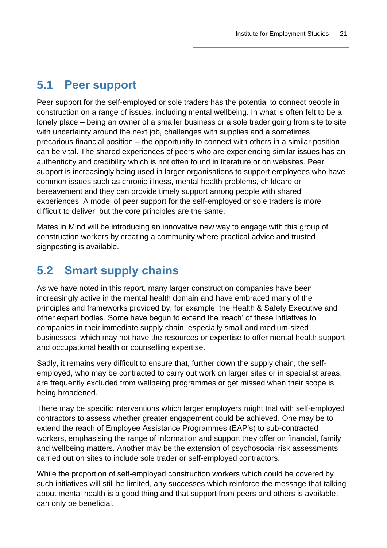#### <span id="page-24-0"></span>**5.1 Peer support**

Peer support for the self-employed or sole traders has the potential to connect people in construction on a range of issues, including mental wellbeing. In what is often felt to be a lonely place – being an owner of a smaller business or a sole trader going from site to site with uncertainty around the next job, challenges with supplies and a sometimes precarious financial position – the opportunity to connect with others in a similar position can be vital. The shared experiences of peers who are experiencing similar issues has an authenticity and credibility which is not often found in literature or on websites. Peer support is increasingly being used in larger organisations to support employees who have common issues such as chronic illness, mental health problems, childcare or bereavement and they can provide timely support among people with shared experiences. A model of peer support for the self-employed or sole traders is more difficult to deliver, but the core principles are the same.

Mates in Mind will be introducing an innovative new way to engage with this group of construction workers by creating a community where practical advice and trusted signposting is available.

### <span id="page-24-1"></span>**5.2 Smart supply chains**

As we have noted in this report, many larger construction companies have been increasingly active in the mental health domain and have embraced many of the principles and frameworks provided by, for example, the Health & Safety Executive and other expert bodies. Some have begun to extend the 'reach' of these initiatives to companies in their immediate supply chain; especially small and medium-sized businesses, which may not have the resources or expertise to offer mental health support and occupational health or counselling expertise.

Sadly, it remains very difficult to ensure that, further down the supply chain, the selfemployed, who may be contracted to carry out work on larger sites or in specialist areas, are frequently excluded from wellbeing programmes or get missed when their scope is being broadened.

There may be specific interventions which larger employers might trial with self-employed contractors to assess whether greater engagement could be achieved. One may be to extend the reach of Employee Assistance Programmes (EAP's) to sub-contracted workers, emphasising the range of information and support they offer on financial, family and wellbeing matters. Another may be the extension of psychosocial risk assessments carried out on sites to include sole trader or self-employed contractors.

While the proportion of self-employed construction workers which could be covered by such initiatives will still be limited, any successes which reinforce the message that talking about mental health is a good thing and that support from peers and others is available, can only be beneficial.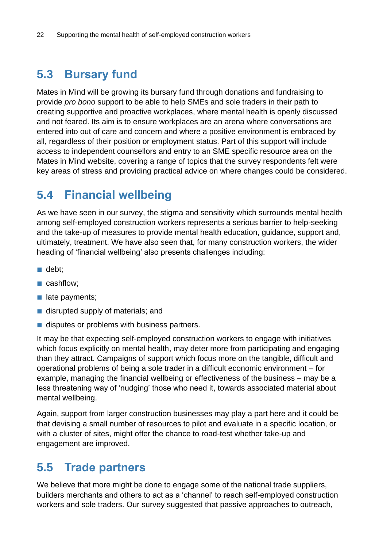#### <span id="page-25-0"></span>**5.3 Bursary fund**

Mates in Mind will be growing its bursary fund through donations and fundraising to provide *pro bono* support to be able to help SMEs and sole traders in their path to creating supportive and proactive workplaces, where mental health is openly discussed and not feared. Its aim is to ensure workplaces are an arena where conversations are entered into out of care and concern and where a positive environment is embraced by all, regardless of their position or employment status. Part of this support will include access to independent counsellors and entry to an SME specific resource area on the Mates in Mind website, covering a range of topics that the survey respondents felt were key areas of stress and providing practical advice on where changes could be considered.

#### <span id="page-25-1"></span>**5.4 Financial wellbeing**

As we have seen in our survey, the stigma and sensitivity which surrounds mental health among self-employed construction workers represents a serious barrier to help-seeking and the take-up of measures to provide mental health education, guidance, support and, ultimately, treatment. We have also seen that, for many construction workers, the wider heading of 'financial wellbeing' also presents challenges including:

- debt;
- cashflow:
- late payments:
- disrupted supply of materials; and
- disputes or problems with business partners.

It may be that expecting self-employed construction workers to engage with initiatives which focus explicitly on mental health, may deter more from participating and engaging than they attract. Campaigns of support which focus more on the tangible, difficult and operational problems of being a sole trader in a difficult economic environment – for example, managing the financial wellbeing or effectiveness of the business – may be a less threatening way of 'nudging' those who need it, towards associated material about mental wellbeing.

Again, support from larger construction businesses may play a part here and it could be that devising a small number of resources to pilot and evaluate in a specific location, or with a cluster of sites, might offer the chance to road-test whether take-up and engagement are improved.

#### <span id="page-25-2"></span>**5.5 Trade partners**

We believe that more might be done to engage some of the national trade suppliers, builders merchants and others to act as a 'channel' to reach self-employed construction workers and sole traders. Our survey suggested that passive approaches to outreach,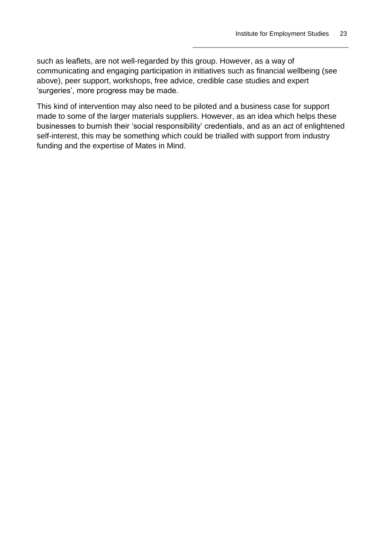such as leaflets, are not well-regarded by this group. However, as a way of communicating and engaging participation in initiatives such as financial wellbeing (see above), peer support, workshops, free advice, credible case studies and expert 'surgeries', more progress may be made.

This kind of intervention may also need to be piloted and a business case for support made to some of the larger materials suppliers. However, as an idea which helps these businesses to burnish their 'social responsibility' credentials, and as an act of enlightened self-interest, this may be something which could be trialled with support from industry funding and the expertise of Mates in Mind.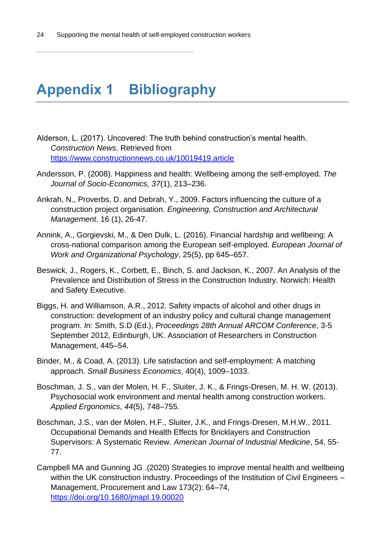## <span id="page-27-0"></span>**Appendix 1 Bibliography**

- Alderson, L. (2017). Uncovered: The truth behind construction's mental health. *Construction News*. Retrieved from <https://www.constructionnews.co.uk/10019419.article>
- Andersson, P. (2008). Happiness and health: Wellbeing among the self-employed. *The Journal of Socio-Economics, 37*(1), 213–236.
- Ankrah, N., Proverbs, D. and Debrah, Y., 2009. Factors influencing the culture of a construction project organisation. *Engineering, Construction and Architectural Management*. 16 (1), 26-47.
- Annink, A., Gorgievski, M., & Den Dulk, L. (2016). Financial hardship and wellbeing: A cross-national comparison among the European self-employed. *European Journal of Work and Organizational Psychology*, 25(5), pp 645–657.
- Beswick, J., Rogers, K., Corbett, E., Binch, S. and Jackson, K., 2007. An Analysis of the Prevalence and Distribution of Stress in the Construction Industry. Norwich: Health and Safety Executive.
- Biggs, H. and Williamson, A.R., 2012. Safety impacts of alcohol and other drugs in construction: development of an industry policy and cultural change management program. *In:* Smith, S.D (Ed.), *Proceedings 28th Annual ARCOM Conference*, 3-5 September 2012, Edinburgh, UK. Association of Researchers in Construction Management, 445–54.
- Binder, M., & Coad, A. (2013). Life satisfaction and self-employment: A matching approach. *Small Business Economics*, 40(4), 1009–1033.
- Boschman, J. S., van der Molen, H. F., Sluiter, J. K., & Frings-Dresen, M. H. W. (2013). Psychosocial work environment and mental health among construction workers. *Applied Ergonomics*, *44*(5), 748–755.
- Boschman, J.S., van der Molen, H.F., Sluiter, J.K., and Frings-Dresen, M.H.W., 2011. Occupational Demands and Health Effects for Bricklayers and Construction Supervisors: A Systematic Review. *American Journal of Industrial Medicine*, 54, 55- 77.
- Campbell MA and Gunning JG .(2020) Strategies to improve mental health and wellbeing within the UK construction industry. Proceedings of the Institution of Civil Engineers -Management, Procurement and Law 173(2): 64–74, <https://doi.org/10.1680/jmapl.19.00020>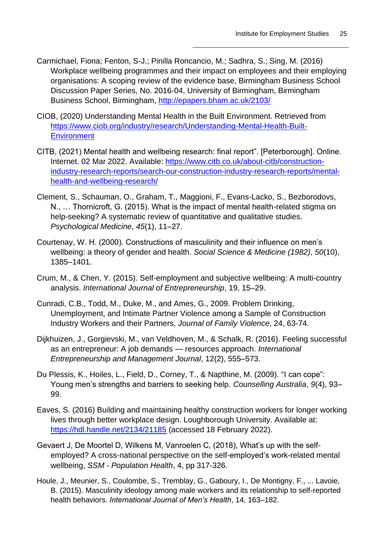- Carmichael, Fiona; Fenton, S-J.; Pinilla Roncancio, M.; Sadhra, S.; Sing, M. (2016) Workplace wellbeing programmes and their impact on employees and their employing organisations: A scoping review of the evidence base, Birmingham Business School Discussion Paper Series, No. 2016-04, University of Birmingham, Birmingham Business School, Birmingham,<http://epapers.bham.ac.uk/2103/>
- CIOB, (2020) Understanding Mental Health in the Built Environment. Retrieved from [https://www.ciob.org/industry/research/Understanding-Mental-Health-Built-](https://www.ciob.org/industry/research/Understanding-Mental-Health-Built-Environment)**[Environment](https://www.ciob.org/industry/research/Understanding-Mental-Health-Built-Environment)**
- CITB, (2021) Mental health and wellbeing research: final report". [Peterborough]. Online. Internet. 02 Mar 2022. Available: [https://www.citb.co.uk/about-citb/construction](https://www.citb.co.uk/about-citb/construction-industry-research-reports/search-our-construction-industry-research-reports/mental-health-and-wellbeing-research/)[industry-research-reports/search-our-construction-industry-research-reports/mental](https://www.citb.co.uk/about-citb/construction-industry-research-reports/search-our-construction-industry-research-reports/mental-health-and-wellbeing-research/)[health-and-wellbeing-research/](https://www.citb.co.uk/about-citb/construction-industry-research-reports/search-our-construction-industry-research-reports/mental-health-and-wellbeing-research/)
- Clement, S., Schauman, O., Graham, T., Maggioni, F., Evans-Lacko, S., Bezborodovs, N., … Thornicroft, G. (2015). What is the impact of mental health-related stigma on help-seeking? A systematic review of quantitative and qualitative studies. *Psychological Medicine*, *45*(1), 11–27.
- Courtenay, W. H. (2000). Constructions of masculinity and their influence on men's wellbeing: a theory of gender and health. *Social Science & Medicine (1982)*, *50*(10), 1385–1401.
- Crum, M., & Chen, Y. (2015). Self-employment and subjective wellbeing: A multi-country analysis. *International Journal of Entrepreneurship*, 19, 15–29.
- Cunradi, C.B., Todd, M., Duke, M., and Ames, G., 2009. Problem Drinking, Unemployment, and Intimate Partner Violence among a Sample of Construction Industry Workers and their Partners, *Journal of Family Violence*, 24, 63-74.
- Dijkhuizen, J., Gorgievski, M., van Veldhoven, M., & Schalk, R. (2016). Feeling successful as an entrepreneur: A job demands — resources approach. *International Entrepreneurship and Management Journal*, 12(2), 555–573.
- Du Plessis, K., Hoiles, L., Field, D., Corney, T., & Napthine, M. (2009). "I can cope": Young men's strengths and barriers to seeking help. *Counselling Australia*, *9*(4), 93– 99.
- Eaves, S. (2016) Building and maintaining healthy construction workers for longer working lives through better workplace design. Loughborough University. Available at: <https://hdl.handle.net/2134/21185> (accessed 18 February 2022).
- Gevaert J, De Moortel D, Wilkens M, Vanroelen C, (2018), What's up with the selfemployed? A cross-national perspective on the self-employed's work-related mental wellbeing, *SSM - Population Health*, 4, pp 317-326.
- Houle, J., Meunier, S., Coulombe, S., Tremblay, G., Gaboury, I., De Montigny, F., ... Lavoie, B. (2015). Masculinity ideology among male workers and its relationship to self-reported health behaviors. *International Journal of Men's Health*, 14, 163–182.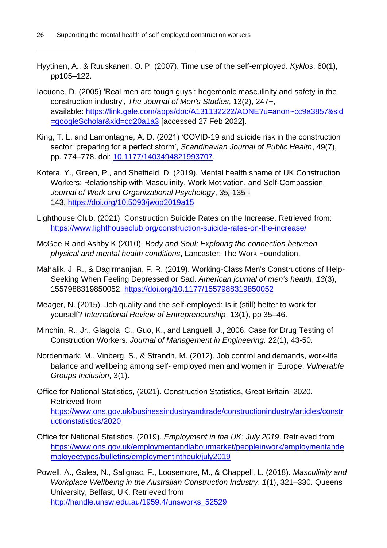- Hyytinen, A., & Ruuskanen, O. P. (2007). Time use of the self-employed. *Kyklos*, 60(1), pp105–122.
- Iacuone, D. (2005) 'Real men are tough guys': hegemonic masculinity and safety in the construction industry', *The Journal of Men's Studies*, 13(2), 247+, available: [https://link.gale.com/apps/doc/A131132222/AONE?u=anon~cc9a3857&sid](https://link.gale.com/apps/doc/A131132222/AONE?u=anon~cc9a3857&sid=googleScholar&xid=cd20a1a3) [=googleScholar&xid=cd20a1a3](https://link.gale.com/apps/doc/A131132222/AONE?u=anon~cc9a3857&sid=googleScholar&xid=cd20a1a3) [accessed 27 Feb 2022].
- King, T. L. and Lamontagne, A. D. (2021) 'COVID-19 and suicide risk in the construction sector: preparing for a perfect storm', *Scandinavian Journal of Public Health*, 49(7), pp. 774–778. doi: [10.1177/1403494821993707.](https://doi.org/10.1177/1403494821993707)
- Kotera, Y., Green, P., and Sheffield, D. (2019). Mental health shame of UK Construction Workers: Relationship with Masculinity, Work Motivation, and Self-Compassion. *Journal of Work and Organizational Psychology*, *35,* 135 - 143. <https://doi.org/10.5093/jwop2019a15>
- Lighthouse Club, (2021). Construction Suicide Rates on the Increase. Retrieved from: <https://www.lighthouseclub.org/construction-suicide-rates-on-the-increase/>
- McGee R and Ashby K (2010), *Body and Soul: Exploring the connection between physical and mental health conditions*, Lancaster: The Work Foundation.
- Mahalik, J. R., & Dagirmanjian, F. R. (2019). Working-Class Men's Constructions of Help-Seeking When Feeling Depressed or Sad. *American journal of men's health*, *13*(3), 1557988319850052.<https://doi.org/10.1177/1557988319850052>
- Meager, N. (2015). Job quality and the self-employed: Is it (still) better to work for yourself? *International Review of Entrepreneurship*, 13(1), pp 35–46.
- Minchin, R., Jr., Glagola, C., Guo, K., and Languell, J., 2006. Case for Drug Testing of Construction Workers. *Journal of Management in Engineering.* 22(1), 43-50.
- Nordenmark, M., Vinberg, S., & Strandh, M. (2012). Job control and demands, work-life balance and wellbeing among self- employed men and women in Europe. *Vulnerable Groups Inclusion*, 3(1).
- Office for National Statistics, (2021). Construction Statistics, Great Britain: 2020. Retrieved from [https://www.ons.gov.uk/businessindustryandtrade/constructionindustry/articles/constr](https://www.ons.gov.uk/businessindustryandtrade/constructionindustry/articles/constructionstatistics/2020) [uctionstatistics/2020](https://www.ons.gov.uk/businessindustryandtrade/constructionindustry/articles/constructionstatistics/2020)
- Office for National Statistics. (2019). *Employment in the UK: July 2019*. Retrieved from [https://www.ons.gov.uk/employmentandlabourmarket/peopleinwork/employmentande](https://www.ons.gov.uk/employmentandlabourmarket/peopleinwork/employmentandemployeetypes/bulletins/employmentintheuk/july2019) [mployeetypes/bulletins/employmentintheuk/july2019](https://www.ons.gov.uk/employmentandlabourmarket/peopleinwork/employmentandemployeetypes/bulletins/employmentintheuk/july2019)
- Powell, A., Galea, N., Salignac, F., Loosemore, M., & Chappell, L. (2018). *Masculinity and Workplace Wellbeing in the Australian Construction Industry*. *1*(1), 321–330. Queens University, Belfast, UK. Retrieved from [http://handle.unsw.edu.au/1959.4/unsworks\\_52529](http://handle.unsw.edu.au/1959.4/unsworks_52529)